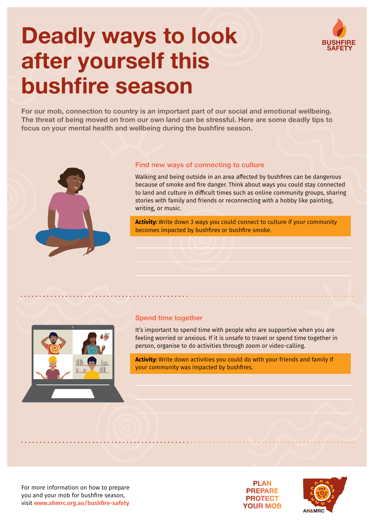# **Deadly ways to look after yourself this bushfire season**

**BUSHFIRE SAFETY**

**For our mob, connection to country is an important part of our social and emotional wellbeing. The threat of being moved on from our own land can be stressful. Here are some deadly tips to focus on your mental health and wellbeing during the bushfire season.**



## **Find new ways of connecting to culture**

Walking and being outside in an area affected by bushfires can be dangerous because of smoke and fire danger. Think about ways you could stay connected to land and culture in difficult times such as online community groups, sharing stories with family and friends or reconnecting with a hobby like painting, writing, or music.

**Activity:** Write down 3 ways you could connect to culture if your community becomes impacted by bushfires or bushfire smoke.



## **Spend time together**

It's important to spend time with people who are supportive when you are feeling worried or anxious. If it is unsafe to travel or spend time together in person, organise to do activities through zoom or video-calling.

**Activity:** Write down activities you could do with your friends and family if your community was impacted by bushfires.

For more information on how to prepare you and your mob for bushfire season, visit **[www.ahmrc.org.au](http://www.ahmrc.org.au/bushfire-safety)/bushfire-safety**